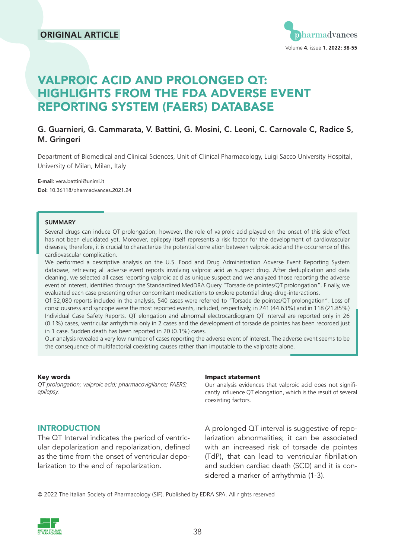### **ORIGINAL ARTICLE**



# VALPROIC ACID AND PROLONGED QT: HIGHLIGHTS FROM THE FDA ADVERSE EVENT REPORTING SYSTEM (FAERS) DATABASE

#### G. Guarnieri, G. Cammarata, V. Battini, G. Mosini, C. Leoni, C. Carnovale C, Radice S, M. Gringeri

Department of Biomedical and Clinical Sciences, Unit of Clinical Pharmacology, Luigi Sacco University Hospital, University of Milan, Milan, Italy

E-mail: vera.battini@unimi.it Doi: 10.36118/pharmadvances.2021.24

#### SUMMARY

Several drugs can induce QT prolongation; however, the role of valproic acid played on the onset of this side effect has not been elucidated yet. Moreover, epilepsy itself represents a risk factor for the development of cardiovascular diseases; therefore, it is crucial to characterize the potential correlation between valproic acid and the occurrence of this cardiovascular complication.

We performed a descriptive analysis on the U.S. Food and Drug Administration Adverse Event Reporting System database, retrieving all adverse event reports involving valproic acid as suspect drug. After deduplication and data cleaning, we selected all cases reporting valproic acid as unique suspect and we analyzed those reporting the adverse event of interest, identified through the Standardized MedDRA Query "Torsade de pointes/QT prolongation". Finally, we evaluated each case presenting other concomitant medications to explore potential drug-drug-interactions.

Of 52,080 reports included in the analysis, 540 cases were referred to "Torsade de pointes/QT prolongation". Loss of consciousness and syncope were the most reported events, included, respectively, in 241 (44.63%) and in 118 (21.85%) Individual Case Safety Reports. QT elongation and abnormal electrocardiogram QT interval are reported only in 26 (0.1%) cases, ventricular arrhythmia only in 2 cases and the development of torsade de pointes has been recorded just in 1 case. Sudden death has been reported in 20 (0.1%) cases.

Our analysis revealed a very low number of cases reporting the adverse event of interest. The adverse event seems to be the consequence of multifactorial coexisting causes rather than imputable to the valproate alone.

#### Key words

*QT prolongation; valproic acid; pharmacovigilance; FAERS; epilepsy.* 

#### Impact statement

Our analysis evidences that valproic acid does not significantly influence QT elongation, which is the result of several coexisting factors.

#### **INTRODUCTION**

The QT Interval indicates the period of ventricular depolarization and repolarization, defined as the time from the onset of ventricular depolarization to the end of repolarization.

A prolonged QT interval is suggestive of repolarization abnormalities; it can be associated with an increased risk of torsade de pointes (TdP), that can lead to ventricular fibrillation and sudden cardiac death (SCD) and it is considered a marker of arrhythmia (1-3).

© 2022 The Italian Society of Pharmacology (SIF). Published by EDRA SPA. All rights reserved

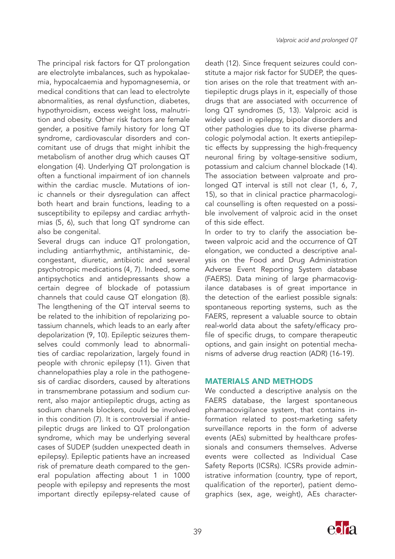The principal risk factors for QT prolongation are electrolyte imbalances, such as hypokalaemia, hypocalcaemia and hypomagnesemia, or medical conditions that can lead to electrolyte abnormalities, as renal dysfunction, diabetes, hypothyroidism, excess weight loss, malnutrition and obesity. Other risk factors are female gender, a positive family history for long QT syndrome, cardiovascular disorders and concomitant use of drugs that might inhibit the metabolism of another drug which causes QT elongation (4). Underlying QT prolongation is often a functional impairment of ion channels within the cardiac muscle. Mutations of ionic channels or their dysregulation can affect both heart and brain functions, leading to a susceptibility to epilepsy and cardiac arrhythmias (5, 6), such that long QT syndrome can also be congenital.

Several drugs can induce QT prolongation, including antiarrhythmic, antihistaminic, decongestant, diuretic, antibiotic and several psychotropic medications (4, 7). Indeed, some antipsychotics and antidepressants show a certain degree of blockade of potassium channels that could cause QT elongation (8). The lengthening of the QT interval seems to be related to the inhibition of repolarizing potassium channels, which leads to an early after depolarization (9, 10). Epileptic seizures themselves could commonly lead to abnormalities of cardiac repolarization, largely found in people with chronic epilepsy (11). Given that channelopathies play a role in the pathogenesis of cardiac disorders, caused by alterations in transmembrane potassium and sodium current, also major antiepileptic drugs, acting as sodium channels blockers, could be involved in this condition (7). It is controversial if antiepileptic drugs are linked to QT prolongation syndrome, which may be underlying several cases of SUDEP (sudden unexpected death in epilepsy). Epileptic patients have an increased risk of premature death compared to the general population affecting about 1 in 1000 people with epilepsy and represents the most important directly epilepsy-related cause of death (12). Since frequent seizures could constitute a major risk factor for SUDEP, the question arises on the role that treatment with antiepileptic drugs plays in it, especially of those drugs that are associated with occurrence of long QT syndromes (5, 13). Valproic acid is widely used in epilepsy, bipolar disorders and other pathologies due to its diverse pharmacologic polymodal action. It exerts antiepileptic effects by suppressing the high-frequency neuronal firing by voltage-sensitive sodium, potassium and calcium channel blockade (14). The association between valproate and prolonged QT interval is still not clear (1, 6, 7, 15), so that in clinical practice pharmacological counselling is often requested on a possible involvement of valproic acid in the onset of this side effect.

In order to try to clarify the association between valproic acid and the occurrence of QT elongation, we conducted a descriptive analysis on the Food and Drug Administration Adverse Event Reporting System database (FAERS). Data mining of large pharmacovigilance databases is of great importance in the detection of the earliest possible signals: spontaneous reporting systems, such as the FAERS, represent a valuable source to obtain real-world data about the safety/efficacy profile of specific drugs, to compare therapeutic options, and gain insight on potential mechanisms of adverse drug reaction (ADR) (16-19).

#### MATERIALS AND METHODS

We conducted a descriptive analysis on the FAERS database, the largest spontaneous pharmacovigilance system, that contains information related to post-marketing safety surveillance reports in the form of adverse events (AEs) submitted by healthcare professionals and consumers themselves. Adverse events were collected as Individual Case Safety Reports (ICSRs). ICSRs provide administrative information (country, type of report, qualification of the reporter), patient demographics (sex, age, weight), AEs character-

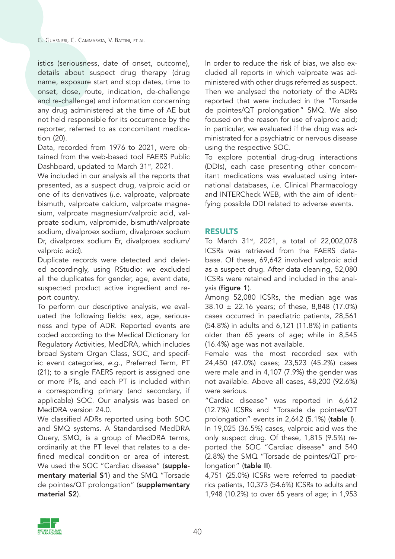istics (seriousness, date of onset, outcome), details about suspect drug therapy (drug name, exposure start and stop dates, time to onset, dose, route, indication, de-challenge and re-challenge) and information concerning any drug administered at the time of AE but not held responsible for its occurrence by the reporter, referred to as concomitant medication (20).

Data, recorded from 1976 to 2021, were obtained from the web-based tool FAERS Public Dashboard, updated to March 31<sup>st</sup>, 2021.

We included in our analysis all the reports that presented, as a suspect drug, valproic acid or one of its derivatives (*i.e.* valproate, valproate bismuth, valproate calcium, valproate magnesium, valproate magnesium/valproic acid, valproate sodium, valpromide, bismuth/valproate sodium, divalproex sodium, divalproex sodium Dr, divalproex sodium Er, divalproex sodium/ valproic acid).

Duplicate records were detected and deleted accordingly, using RStudio: we excluded all the duplicates for gender, age, event date, suspected product active ingredient and report country.

To perform our descriptive analysis, we evaluated the following fields: sex, age, seriousness and type of ADR. Reported events are coded according to the Medical Dictionary for Regulatory Activities, MedDRA, which includes broad System Organ Class, SOC, and specific event categories, *e.g*., Preferred Term, PT (21); to a single FAERS report is assigned one or more PTs, and each PT is included within a corresponding primary (and secondary, if applicable) SOC. Our analysis was based on MedDRA version 24.0.

We classified ADRs reported using both SOC and SMQ systems. A Standardised MedDRA Query, SMQ, is a group of MedDRA terms, ordinarily at the PT level that relates to a defined medical condition or area of interest. We used the SOC "Cardiac disease" (supplementary material S1) and the SMQ "Torsade de pointes/QT prolongation" (supplementary material S2).

In order to reduce the risk of bias, we also excluded all reports in which valproate was administered with other drugs referred as suspect. Then we analysed the notoriety of the ADRs reported that were included in the "Torsade de pointes/QT prolongation" SMQ. We also focused on the reason for use of valproic acid; in particular, we evaluated if the drug was administrated for a psychiatric or nervous disease using the respective SOC.

To explore potential drug-drug interactions (DDIs), each case presenting other concomitant medications was evaluated using international databases, *i.e*. Clinical Pharmacology and INTERCheck WEB, with the aim of identifying possible DDI related to adverse events.

#### RESULTS

To March 31<sup>st</sup>, 2021, a total of 22,002,078 ICSRs was retrieved from the FAERS database. Of these, 69,642 involved valproic acid as a suspect drug. After data cleaning, 52,080 ICSRs were retained and included in the anal $ysis$  (figure 1).

Among 52,080 ICSRs, the median age was 38.10 ± 22.16 years; of these, 8,848 (17.0%) cases occurred in paediatric patients, 28,561 (54.8%) in adults and 6,121 (11.8%) in patients older than 65 years of age; while in 8,545 (16.4%) age was not available.

Female was the most recorded sex with 24,450 (47.0%) cases; 23,523 (45.2%) cases were male and in 4,107 (7.9%) the gender was not available. Above all cases, 48,200 (92.6%) were serious.

"Cardiac disease" was reported in 6,612 (12.7%) ICSRs and "Torsade de pointes/QT prolongation" events in 2,642 (5.1%) (table I). In 19,025 (36.5%) cases, valproic acid was the only suspect drug. Of these, 1,815 (9.5%) reported the SOC "Cardiac disease" and 540 (2.8%) the SMQ "Torsade de pointes/QT prolongation" (table II).

4,751 (25.0%) ICSRs were referred to paediatrics patients, 10,373 (54.6%) ICSRs to adults and 1,948 (10.2%) to over 65 years of age; in 1,953

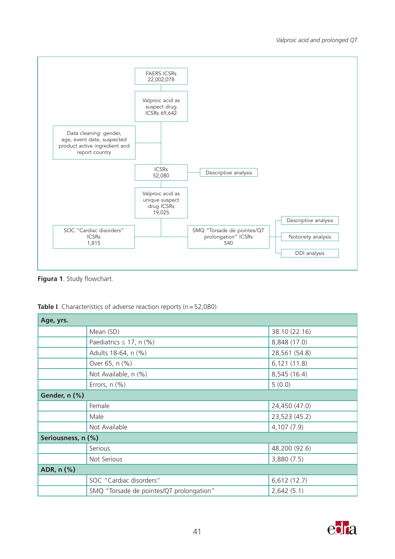

**Figura 1**. Study flowchart.

| Age, yrs.          |                                          |               |  |  |
|--------------------|------------------------------------------|---------------|--|--|
|                    | Mean (SD)                                | 38.10 (22.16) |  |  |
|                    | Paediatrics $\leq$ 17, n (%)             | 8,848 (17.0)  |  |  |
|                    | Adults 18-64, n (%)                      | 28,561 (54.8) |  |  |
|                    | Over 65, n (%)                           | 6,121(11.8)   |  |  |
|                    | Not Available, n (%)                     | 8,545 (16.4)  |  |  |
|                    | Errors, $n$ (%)                          | 5(0.0)        |  |  |
| Gender, n (%)      |                                          |               |  |  |
|                    | Female                                   | 24,450 (47.0) |  |  |
|                    | Male                                     | 23,523 (45.2) |  |  |
|                    | Not Available                            | 4,107 (7.9)   |  |  |
| Seriousness, n (%) |                                          |               |  |  |
|                    | Serious                                  | 48,200 (92.6) |  |  |
|                    | Not Serious                              | 3,880(7.5)    |  |  |
| ADR, n (%)         |                                          |               |  |  |
|                    | SOC "Cardiac disorders"                  | 6,612(12.7)   |  |  |
|                    | SMQ "Torsade de pointes/QT prolongation" | 2,642(5.1)    |  |  |

Table I. Characteristics of adverse reaction reports (n=52,080).

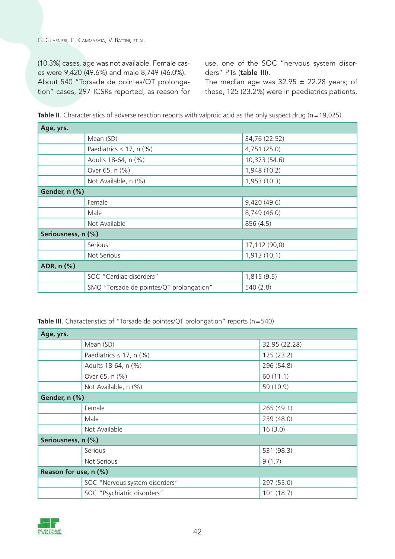(10.3%) cases, age was not available. Female cases were 9,420 (49.6%) and male 8,749 (46.0%). About 540 "Torsade de pointes/QT prolongation" cases, 297 ICSRs reported, as reason for use, one of the SOC "nervous system disorders" PTs (table III).

The median age was  $32.95 \pm 22.28$  years; of these, 125 (23.2%) were in paediatrics patients,

| Age, yrs.          |                                          |               |  |  |
|--------------------|------------------------------------------|---------------|--|--|
|                    | Mean (SD)                                | 34,76 (22.52) |  |  |
|                    | Paediatrics $\leq$ 17, n (%)             | 4,751 (25.0)  |  |  |
|                    | Adults 18-64, n (%)                      | 10,373 (54.6) |  |  |
|                    | Over 65, n (%)                           | 1,948 (10.2)  |  |  |
|                    | Not Available, n (%)                     | 1,953(10.3)   |  |  |
| Gender, n (%)      |                                          |               |  |  |
|                    | Female                                   | 9,420 (49.6)  |  |  |
|                    | Male                                     | 8,749 (46.0)  |  |  |
|                    | Not Available                            | 856 (4.5)     |  |  |
| Seriousness, n (%) |                                          |               |  |  |
|                    | <b>Serious</b>                           | 17,112 (90,0) |  |  |
|                    | Not Serious                              | 1,913(10,1)   |  |  |
| ADR, n (%)         |                                          |               |  |  |
|                    | SOC "Cardiac disorders"                  | 1,815(9.5)    |  |  |
|                    | SMQ "Torsade de pointes/QT prolongation" | 540(2.8)      |  |  |

**Table II**. Characteristics of adverse reaction reports with valproic acid as the only suspect drug (n = 19,025).

**Table III**. Characteristics of "Torsade de pointes/QT prolongation" reports (n = 540)

| Age, yrs.             |                                |               |  |  |
|-----------------------|--------------------------------|---------------|--|--|
|                       | Mean (SD)                      | 32.95 (22.28) |  |  |
|                       | Paediatrics $\leq$ 17, n (%)   | 125(23.2)     |  |  |
|                       | Adults 18-64, n (%)            | 296 (54.8)    |  |  |
|                       | Over 65, n (%)                 | 60(11.1)      |  |  |
|                       | Not Available, n (%)           | 59 (10.9)     |  |  |
| Gender, n (%)         |                                |               |  |  |
|                       | Female                         | 265(49.1)     |  |  |
|                       | Male                           | 259 (48.0)    |  |  |
|                       | Not Available                  | 16(3.0)       |  |  |
| Seriousness, n (%)    |                                |               |  |  |
|                       | Serious                        | 531 (98.3)    |  |  |
|                       | Not Serious                    | 9(1.7)        |  |  |
| Reason for use, n (%) |                                |               |  |  |
|                       | SOC "Nervous system disorders" | 297 (55.0)    |  |  |
|                       | SOC "Psychiatric disorders"    | 101(18.7)     |  |  |

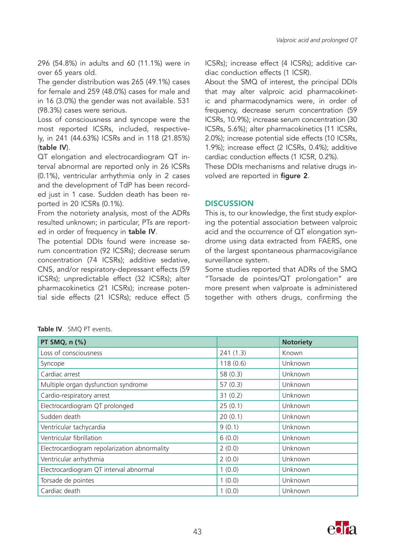296 (54.8%) in adults and 60 (11.1%) were in over 65 years old.

The gender distribution was 265 (49.1%) cases for female and 259 (48.0%) cases for male and in 16 (3.0%) the gender was not available. 531 (98.3%) cases were serious.

Loss of consciousness and syncope were the most reported ICSRs, included, respectively, in 241 (44.63%) ICSRs and in 118 (21.85%) (table IV).

QT elongation and electrocardiogram QT interval abnormal are reported only in 26 ICSRs (0.1%), ventricular arrhythmia only in 2 cases and the development of TdP has been recorded just in 1 case. Sudden death has been reported in 20 ICSRs (0.1%).

From the notoriety analysis, most of the ADRs resulted unknown; in particular, PTs are reported in order of frequency in table IV.

The potential DDIs found were increase serum concentration (92 ICSRs); decrease serum concentration (74 ICSRs); additive sedative, CNS, and/or respiratory-depressant effects (59 ICSRs); unpredictable effect (32 ICSRs); alter pharmacokinetics (21 ICSRs); increase potential side effects (21 ICSRs); reduce effect (5 ICSRs); increase effect (4 ICSRs); additive cardiac conduction effects (1 ICSR).

About the SMQ of interest, the principal DDIs that may alter valproic acid pharmacokinetic and pharmacodynamics were, in order of frequency, decrease serum concentration (59 ICSRs, 10.9%); increase serum concentration (30 ICSRs, 5.6%); alter pharmacokinetics (11 ICSRs, 2.0%); increase potential side effects (10 ICSRs, 1.9%); increase effect (2 ICSRs, 0.4%); additive cardiac conduction effects (1 ICSR, 0.2%).

These DDIs mechanisms and relative drugs involved are reported in figure 2.

#### **DISCUSSION**

This is, to our knowledge, the first study exploring the potential association between valproic acid and the occurrence of QT elongation syndrome using data extracted from FAERS, one of the largest spontaneous pharmacovigilance surveillance system.

Some studies reported that ADRs of the SMQ "Torsade de pointes/QT prolongation" are more present when valproate is administered together with others drugs, confirming the

|  |  | Table IV. SMQ PT events. |
|--|--|--------------------------|
|--|--|--------------------------|

| PT SMQ, n (%)                                |          | <b>Notoriety</b> |
|----------------------------------------------|----------|------------------|
| Loss of consciousness                        | 241(1.3) | Known            |
| Syncope                                      | 118(0.6) | Unknown          |
| Cardiac arrest                               | 58(0.3)  | Unknown          |
| Multiple organ dysfunction syndrome          | 57(0.3)  | Unknown          |
| Cardio-respiratory arrest                    | 31(0.2)  | Unknown          |
| Electrocardiogram QT prolonged               | 25(0.1)  | Unknown          |
| Sudden death                                 | 20(0.1)  | Unknown          |
| Ventricular tachycardia                      | 9(0.1)   | Unknown          |
| Ventricular fibrillation                     | 6(0.0)   | Unknown          |
| Electrocardiogram repolarization abnormality | 2(0.0)   | Unknown          |
| Ventricular arrhythmia                       | 2(0.0)   | Unknown          |
| Electrocardiogram QT interval abnormal       | 1(0.0)   | Unknown          |
| Torsade de pointes                           | 1(0.0)   | Unknown          |
| Cardiac death                                | 1(0.0)   | Unknown          |

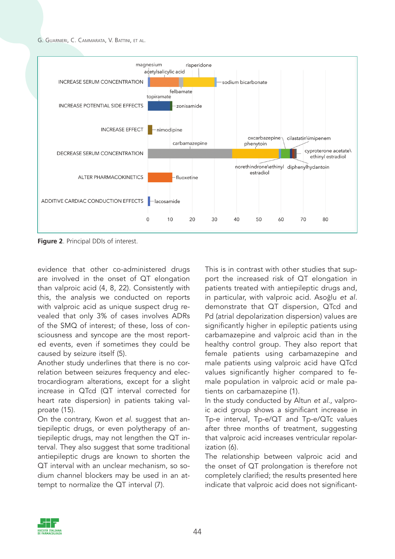

**Figure 2**. Principal DDIs of interest.

evidence that other co-administered drugs are involved in the onset of QT elongation than valproic acid (4, 8, 22). Consistently with this, the analysis we conducted on reports with valproic acid as unique suspect drug revealed that only 3% of cases involves ADRs of the SMQ of interest; of these, loss of consciousness and syncope are the most reported events, even if sometimes they could be caused by seizure itself (5).

Another study underlines that there is no correlation between seizures frequency and electrocardiogram alterations, except for a slight increase in QTcd (QT interval corrected for heart rate dispersion) in patients taking valproate (15).

On the contrary, Kwon *et al*. suggest that antiepileptic drugs, or even polytherapy of antiepileptic drugs, may not lengthen the QT interval. They also suggest that some traditional antiepileptic drugs are known to shorten the QT interval with an unclear mechanism, so sodium channel blockers may be used in an attempt to normalize the QT interval (7).

This is in contrast with other studies that support the increased risk of QT elongation in patients treated with antiepileptic drugs and, in particular, with valproic acid. Asoğlu *et al.* demonstrate that QT dispersion, QTcd and Pd (atrial depolarization dispersion) values are significantly higher in epileptic patients using carbamazepine and valproic acid than in the healthy control group. They also report that female patients using carbamazepine and male patients using valproic acid have QTcd values significantly higher compared to female population in valproic acid or male patients on carbamazepine (1).

In the study conducted by Altun *et al*., valproic acid group shows a significant increase in Tp-e interval, Tp-e/QT and Tp-e/QTc values after three months of treatment, suggesting that valproic acid increases ventricular repolarization (6).

The relationship between valproic acid and the onset of QT prolongation is therefore not completely clarified; the results presented here indicate that valproic acid does not significant-

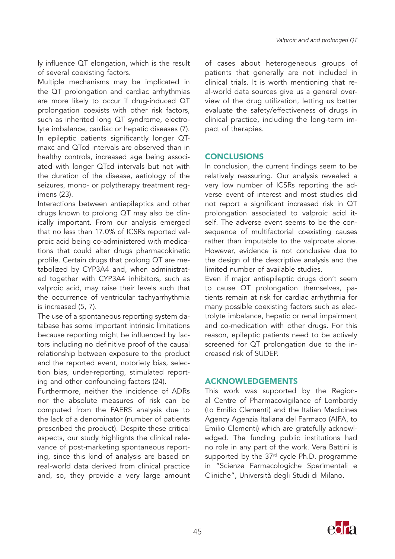ly influence QT elongation, which is the result of several coexisting factors.

Multiple mechanisms may be implicated in the QT prolongation and cardiac arrhythmias are more likely to occur if drug-induced QT prolongation coexists with other risk factors, such as inherited long QT syndrome, electrolyte imbalance, cardiac or hepatic diseases (7). In epileptic patients significantly longer QTmaxc and QTcd intervals are observed than in healthy controls, increased age being associated with longer QTcd intervals but not with the duration of the disease, aetiology of the seizures, mono- or polytherapy treatment regimens (23).

Interactions between antiepileptics and other drugs known to prolong QT may also be clinically important. From our analysis emerged that no less than 17.0% of ICSRs reported valproic acid being co-administered with medications that could alter drugs pharmacokinetic profile. Certain drugs that prolong QT are metabolized by CYP3A4 and, when administrated together with CYP3A4 inhibitors, such as valproic acid, may raise their levels such that the occurrence of ventricular tachyarrhythmia is increased (5, 7).

The use of a spontaneous reporting system database has some important intrinsic limitations because reporting might be influenced by factors including no definitive proof of the causal relationship between exposure to the product and the reported event, notoriety bias, selection bias, under-reporting, stimulated reporting and other confounding factors (24).

Furthermore, neither the incidence of ADRs nor the absolute measures of risk can be computed from the FAERS analysis due to the lack of a denominator (number of patients prescribed the product). Despite these critical aspects, our study highlights the clinical relevance of post-marketing spontaneous reporting, since this kind of analysis are based on real-world data derived from clinical practice and, so, they provide a very large amount

of cases about heterogeneous groups of patients that generally are not included in clinical trials. It is worth mentioning that real-world data sources give us a general overview of the drug utilization, letting us better evaluate the safety/effectiveness of drugs in clinical practice, including the long-term impact of therapies.

#### **CONCLUSIONS**

In conclusion, the current findings seem to be relatively reassuring. Our analysis revealed a very low number of ICSRs reporting the adverse event of interest and most studies did not report a significant increased risk in QT prolongation associated to valproic acid itself. The adverse event seems to be the consequence of multifactorial coexisting causes rather than imputable to the valproate alone. However, evidence is not conclusive due to the design of the descriptive analysis and the limited number of available studies.

Even if major antiepileptic drugs don't seem to cause QT prolongation themselves, patients remain at risk for cardiac arrhythmia for many possible coexisting factors such as electrolyte imbalance, hepatic or renal impairment and co-medication with other drugs. For this reason, epileptic patients need to be actively screened for QT prolongation due to the increased risk of SUDEP.

### ACKNOWLEDGEMENTS

This work was supported by the Regional Centre of Pharmacovigilance of Lombardy (to Emilio Clementi) and the Italian Medicines Agency Agenzia Italiana del Farmaco (AIFA, to Emilio Clementi) which are gratefully acknowledged. The funding public institutions had no role in any part of the work. Vera Battini is supported by the 37<sup>rd</sup> cycle Ph.D. programme in "Scienze Farmacologiche Sperimentali e Cliniche", Università degli Studi di Milano.

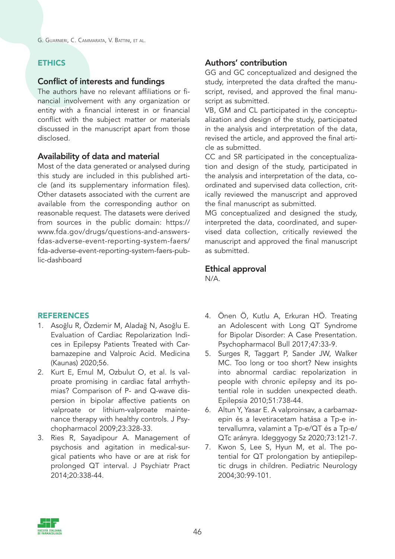### **ETHICS**

### Conflict of interests and fundings

The authors have no relevant affiliations or financial involvement with any organization or entity with a financial interest in or financial conflict with the subject matter or materials discussed in the manuscript apart from those disclosed.

### Availability of data and material

Most of the data generated or analysed during this study are included in this published article (and its supplementary information files). Other datasets associated with the current are available from the corresponding author on reasonable request. The datasets were derived from sources in the public domain: https:// www.fda.gov/drugs/questions-and-answersfdas-adverse-event-reporting-system-faers/ fda-adverse-event-reporting-system-faers-public-dashboard

### **REFERENCES**

- 1. Asoğlu R, Özdemir M, Aladağ N, Asoğlu E. Evaluation of Cardiac Repolarization Indices in Epilepsy Patients Treated with Carbamazepine and Valproic Acid. Medicina (Kaunas) 2020;56.
- 2. Kurt E, Emul M, Ozbulut O, et al. Is valproate promising in cardiac fatal arrhythmias? Comparison of P- and Q-wave dispersion in bipolar affective patients on valproate or lithium-valproate maintenance therapy with healthy controls. J Psychopharmacol 2009;23:328-33.
- 3. Ries R, Sayadipour A. Management of psychosis and agitation in medical-surgical patients who have or are at risk for prolonged QT interval. J Psychiatr Pract 2014;20:338-44.

### Authors' contribution

GG and GC conceptualized and designed the study, interpreted the data drafted the manuscript, revised, and approved the final manuscript as submitted.

VB, GM and CL participated in the conceptualization and design of the study, participated in the analysis and interpretation of the data, revised the article, and approved the final article as submitted.

CC and SR participated in the conceptualization and design of the study, participated in the analysis and interpretation of the data, coordinated and supervised data collection, critically reviewed the manuscript and approved the final manuscript as submitted.

MG conceptualized and designed the study, interpreted the data, coordinated, and supervised data collection, critically reviewed the manuscript and approved the final manuscript as submitted.

#### Ethical approval N/A.

- 4. Önen Ö, Kutlu A, Erkuran HÖ. Treating an Adolescent with Long QT Syndrome for Bipolar Disorder: A Case Presentation. Psychopharmacol Bull 2017;47:33-9.
- 5. Surges R, Taggart P, Sander JW, Walker MC. Too long or too short? New insights into abnormal cardiac repolarization in people with chronic epilepsy and its potential role in sudden unexpected death. Epilepsia 2010;51:738-44.
- 6. Altun Y, Yasar E. A valproinsav, a carbamazepin és a levetiracetam hatása a Tp-e intervallumra, valamint a Tp-e/QT és a Tp-e/ QTc arányra. Ideggyogy Sz 2020;73:121-7.
- 7. Kwon S, Lee S, Hyun M, et al. The potential for QT prolongation by antiepileptic drugs in children. Pediatric Neurology 2004;30:99-101.

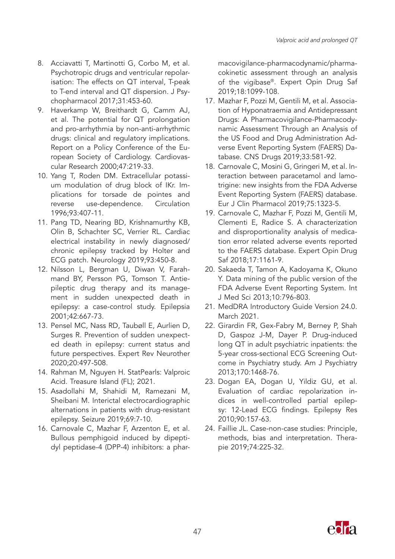- 8. Acciavatti T, Martinotti G, Corbo M, et al. Psychotropic drugs and ventricular repolarisation: The effects on QT interval, T-peak to T-end interval and QT dispersion. J Psychopharmacol 2017;31:453-60.
- 9. Haverkamp W, Breithardt G, Camm AJ, et al. The potential for QT prolongation and pro-arrhythmia by non-anti-arrhythmic drugs: clinical and regulatory implications. Report on a Policy Conference of the European Society of Cardiology. Cardiovascular Research 2000;47:219-33.
- 10. Yang T, Roden DM. Extracellular potassium modulation of drug block of IKr. Implications for torsade de pointes and reverse use-dependence. Circulation 1996;93:407-11.
- 11. Pang TD, Nearing BD, Krishnamurthy KB, Olin B, Schachter SC, Verrier RL. Cardiac electrical instability in newly diagnosed/ chronic epilepsy tracked by Holter and ECG patch. Neurology 2019;93:450-8.
- 12. Nilsson L, Bergman U, Diwan V, Farahmand BY, Persson PG, Tomson T. Antiepileptic drug therapy and its management in sudden unexpected death in epilepsy: a case-control study. Epilepsia 2001;42:667-73.
- 13. Pensel MC, Nass RD, Taubøll E, Aurlien D, Surges R. Prevention of sudden unexpected death in epilepsy: current status and future perspectives. Expert Rev Neurother 2020;20:497-508.
- 14. Rahman M, Nguyen H. StatPearls: Valproic Acid. Treasure Island (FL); 2021.
- 15. Asadollahi M, Shahidi M, Ramezani M, Sheibani M. Interictal electrocardiographic alternations in patients with drug-resistant epilepsy. Seizure 2019;69:7-10.
- 16. Carnovale C, Mazhar F, Arzenton E, et al. Bullous pemphigoid induced by dipeptidyl peptidase-4 (DPP-4) inhibitors: a phar-

macovigilance-pharmacodynamic/pharmacokinetic assessment through an analysis of the vigibase®. Expert Opin Drug Saf 2019;18:1099-108.

- 17. Mazhar F, Pozzi M, Gentili M, et al. Association of Hyponatraemia and Antidepressant Drugs: A Pharmacovigilance-Pharmacodynamic Assessment Through an Analysis of the US Food and Drug Administration Adverse Event Reporting System (FAERS) Database. CNS Drugs 2019;33:581-92.
- 18. Carnovale C, Mosini G, Gringeri M, et al. Interaction between paracetamol and lamotrigine: new insights from the FDA Adverse Event Reporting System (FAERS) database. Eur J Clin Pharmacol 2019;75:1323-5.
- 19. Carnovale C, Mazhar F, Pozzi M, Gentili M, Clementi E, Radice S. A characterization and disproportionality analysis of medication error related adverse events reported to the FAERS database. Expert Opin Drug Saf 2018;17:1161-9.
- 20. Sakaeda T, Tamon A, Kadoyama K, Okuno Y. Data mining of the public version of the FDA Adverse Event Reporting System. Int J Med Sci 2013;10:796-803.
- 21. MedDRA Introductory Guide Version 24.0. March 2021.
- 22. Girardin FR, Gex-Fabry M, Berney P, Shah D, Gaspoz J-M, Dayer P. Drug-induced long QT in adult psychiatric inpatients: the 5-year cross-sectional ECG Screening Outcome in Psychiatry study. Am J Psychiatry 2013;170:1468-76.
- 23. Dogan EA, Dogan U, Yildiz GU, et al. Evaluation of cardiac repolarization indices in well-controlled partial epilepsy: 12-Lead ECG findings. Epilepsy Res 2010;90:157-63.
- 24. Faillie JL. Case-non-case studies: Principle, methods, bias and interpretation. Therapie 2019;74:225-32.

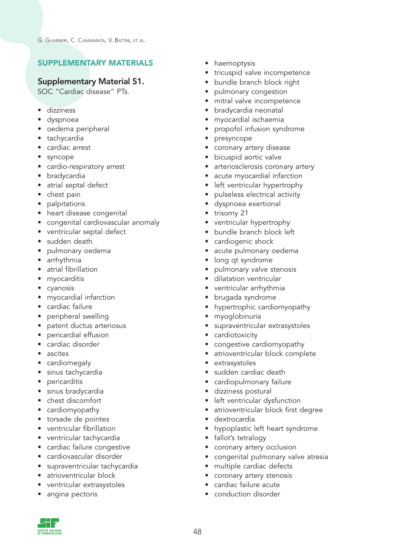## SUPPLEMENTARY MATERIALS

### Supplementary Material S1.

SOC "Cardiac disease" PTs.

- dizziness
- dyspnoea
- oedema peripheral
- tachycardia
- cardiac arrest
- syncope
- cardio-respiratory arrest
- bradycardia
- atrial septal defect
- chest pain
- palpitations
- heart disease congenital
- congenital cardiovascular anomaly
- ventricular septal defect
- sudden death
- pulmonary oedema
- arrhythmia
- $\bullet$  atrial fibrillation
- myocarditis
- cyanosis
- myocardial infarction
- cardiac failure
- peripheral swelling
- patent ductus arteriosus
- pericardial effusion
- cardiac disorder
- ascites
- cardiomegaly
- sinus tachycardia
- pericarditis
- sinus bradycardia
- chest discomfort
- cardiomyopathy
- torsade de pointes
- ventricular fibrillation
- ventricular tachycardia
- cardiac failure congestive
- cardiovascular disorder
- supraventricular tachycardia
- atrioventricular block
- ventricular extrasystoles
- angina pectoris
- haemoptysis
- tricuspid valve incompetence
- bundle branch block right
- pulmonary congestion
- mitral valve incompetence
- bradycardia neonatal
- myocardial ischaemia
- propofol infusion syndrome
- presyncope
- coronary artery disease
- bicuspid aortic valve
- arteriosclerosis coronary artery
- acute myocardial infarction
- left ventricular hypertrophy
- pulseless electrical activity
- dyspnoea exertional
- trisomy 21
- ventricular hypertrophy
- bundle branch block left
- cardiogenic shock
- acute pulmonary oedema
- long qt syndrome
- pulmonary valve stenosis
- dilatation ventricular
- ventricular arrhythmia
- brugada syndrome
- hypertrophic cardiomyopathy
- myoglobinuria
- supraventricular extrasystoles
- cardiotoxicity
- congestive cardiomyopathy
- atrioventricular block complete
- extrasystoles
- sudden cardiac death
- cardiopulmonary failure
- dizziness postural
- left ventricular dysfunction
- atrioventricular block first degree
- dextrocardia
- hypoplastic left heart syndrome
- fallot's tetralogy
- coronary artery occlusion
- congenital pulmonary valve atresia
- multiple cardiac defects
- coronary artery stenosis
- cardiac failure acute
- conduction disorder

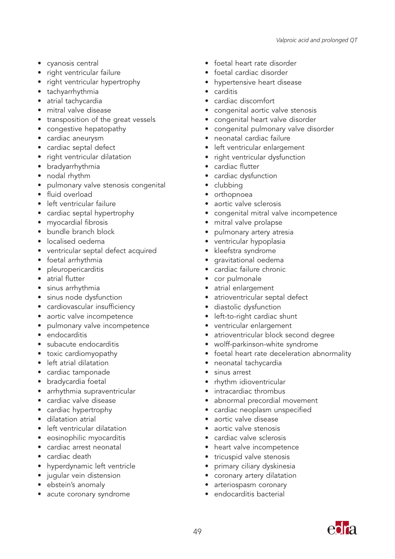- cyanosis central
- right ventricular failure
- right ventricular hypertrophy
- tachyarrhythmia
- atrial tachycardia
- mitral valve disease
- transposition of the great vessels
- congestive hepatopathy
- cardiac aneurysm
- cardiac septal defect
- right ventricular dilatation
- bradyarrhythmia
- nodal rhythm
- pulmonary valve stenosis congenital
- fluid overload
- left ventricular failure
- cardiac septal hypertrophy
- myocardial fibrosis
- bundle branch block
- localised oedema
- ventricular septal defect acquired
- foetal arrhythmia
- pleuropericarditis
- atrial flutter
- sinus arrhythmia
- sinus node dysfunction
- cardiovascular insufficiency
- aortic valve incompetence
- pulmonary valve incompetence
- endocarditis
- subacute endocarditis
- toxic cardiomyopathy
- left atrial dilatation
- cardiac tamponade
- bradycardia foetal
- arrhythmia supraventricular
- cardiac valve disease
- cardiac hypertrophy
- dilatation atrial
- left ventricular dilatation
- eosinophilic myocarditis
- cardiac arrest neonatal
- cardiac death
- hyperdynamic left ventricle
- jugular vein distension
- ebstein's anomaly
- acute coronary syndrome
- foetal heart rate disorder
- foetal cardiac disorder
- hypertensive heart disease
- carditis
- cardiac discomfort
- congenital aortic valve stenosis
- congenital heart valve disorder
- congenital pulmonary valve disorder
- neonatal cardiac failure
- left ventricular enlargement
- right ventricular dysfunction
- cardiac flutter
- cardiac dysfunction
- clubbing
- orthopnoea
- aortic valve sclerosis
- congenital mitral valve incompetence
- mitral valve prolapse
- pulmonary artery atresia
- ventricular hypoplasia
- kleefstra syndrome
- gravitational oedema
- cardiac failure chronic
- cor pulmonale
- atrial enlargement
- atrioventricular septal defect
- diastolic dysfunction
- left-to-right cardiac shunt
- ventricular enlargement
- atrioventricular block second degree
- wolff-parkinson-white syndrome
- foetal heart rate deceleration abnormality
- neonatal tachycardia
- sinus arrest
- rhythm idioventricular
- intracardiac thrombus
- abnormal precordial movement
- cardiac neoplasm unspecified
- aortic valve disease
- aortic valve stenosis
- cardiac valve sclerosis
- heart valve incompetence
- tricuspid valve stenosis
- primary ciliary dyskinesia
- coronary artery dilatation
- arteriospasm coronary
- endocarditis bacterial

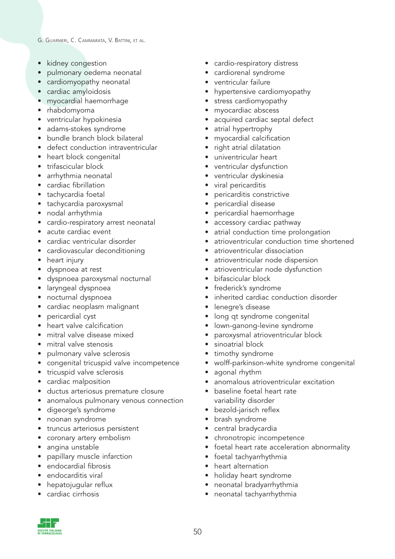- kidney congestion
- pulmonary oedema neonatal
- cardiomyopathy neonatal
- cardiac amyloidosis
- myocardial haemorrhage
- rhabdomyoma
- ventricular hypokinesia
- adams-stokes syndrome
- bundle branch block bilateral
- defect conduction intraventricular
- heart block congenital
- trifascicular block
- arrhythmia neonatal
- cardiac fibrillation
- tachycardia foetal
- tachycardia paroxysmal
- nodal arrhythmia
- cardio-respiratory arrest neonatal
- acute cardiac event
- cardiac ventricular disorder
- cardiovascular deconditioning
- heart injury
- dyspnoea at rest
- dyspnoea paroxysmal nocturnal
- laryngeal dyspnoea
- nocturnal dyspnoea
- cardiac neoplasm malignant
- pericardial cyst
- heart valve calcification
- mitral valve disease mixed
- mitral valve stenosis
- pulmonary valve sclerosis
- congenital tricuspid valve incompetence
- tricuspid valve sclerosis
- cardiac malposition
- ductus arteriosus premature closure
- anomalous pulmonary venous connection
- digeorge's syndrome
- noonan syndrome
- truncus arteriosus persistent
- coronary artery embolism
- angina unstable
- papillary muscle infarction
- endocardial fibrosis
- endocarditis viral
- $\bullet$  hepatojugular reflux
- cardiac cirrhosis
- cardio-respiratory distress
- cardiorenal syndrome
- ventricular failure
- hypertensive cardiomyopathy
- stress cardiomyopathy
- myocardiac abscess
- acquired cardiac septal defect
- atrial hypertrophy
- myocardial calcification
- right atrial dilatation
- univentricular heart
- ventricular dysfunction
- ventricular dyskinesia
- viral pericarditis
- pericarditis constrictive
- pericardial disease
- pericardial haemorrhage
- accessory cardiac pathway
- atrial conduction time prolongation
- atrioventricular conduction time shortened
- atrioventricular dissociation
- atrioventricular node dispersion
- atrioventricular node dysfunction
- bifascicular block
- frederick's syndrome
- inherited cardiac conduction disorder
- lenegre's disease
- long at syndrome congenital
- lown-ganong-levine syndrome
- paroxysmal atrioventricular block
- sinoatrial block
- timothy syndrome
- wolff-parkinson-white syndrome congenital
- agonal rhythm
- anomalous atrioventricular excitation
- baseline foetal heart rate variability disorder
- bezold-jarisch reflex
- brash syndrome
- central bradycardia
- chronotropic incompetence
- foetal heart rate acceleration abnormality
- foetal tachyarrhythmia
- heart alternation
- holiday heart syndrome
- neonatal bradyarrhythmia
- neonatal tachyarrhythmia

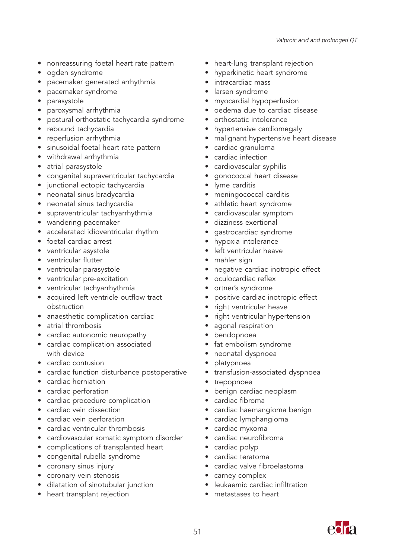- nonreassuring foetal heart rate pattern
- ogden syndrome
- pacemaker generated arrhythmia
- pacemaker syndrome
- parasystole
- paroxysmal arrhythmia
- postural orthostatic tachycardia syndrome
- rebound tachycardia
- reperfusion arrhythmia
- sinusoidal foetal heart rate pattern
- withdrawal arrhythmia
- atrial parasystole
- congenital supraventricular tachycardia
- junctional ectopic tachycardia
- neonatal sinus bradycardia
- neonatal sinus tachycardia
- supraventricular tachyarrhythmia
- wandering pacemaker
- accelerated idioventricular rhythm
- foetal cardiac arrest
- ventricular asystole
- ventricular flutter
- ventricular parasystole
- ventricular pre-excitation
- ventricular tachyarrhythmia
- acquired left ventricle outflow tract obstruction
- anaesthetic complication cardiac
- atrial thrombosis
- cardiac autonomic neuropathy
- cardiac complication associated with device
- cardiac contusion
- cardiac function disturbance postoperative
- cardiac herniation
- cardiac perforation
- cardiac procedure complication
- cardiac vein dissection
- cardiac vein perforation
- cardiac ventricular thrombosis
- cardiovascular somatic symptom disorder
- complications of transplanted heart
- congenital rubella syndrome
- coronary sinus injury
- coronary vein stenosis
- dilatation of sinotubular junction
- heart transplant rejection
- heart-lung transplant rejection
- hyperkinetic heart syndrome
- intracardiac mass
- larsen syndrome
- myocardial hypoperfusion
- oedema due to cardiac disease
- orthostatic intolerance
- hypertensive cardiomegaly
- malignant hypertensive heart disease
- cardiac granuloma
- cardiac infection
- cardiovascular syphilis
- gonococcal heart disease
- lyme carditis
- meningococcal carditis
- athletic heart syndrome
- cardiovascular symptom
- dizziness exertional
- gastrocardiac syndrome
- hypoxia intolerance
- left ventricular heave
- mahler sign
- negative cardiac inotropic effect
- oculocardiac reflex
- ortner's syndrome
- positive cardiac inotropic effect
- right ventricular heave
- right ventricular hypertension
- agonal respiration
- bendopnoea
- fat embolism syndrome
- neonatal dyspnoea
- platypnoea
- transfusion-associated dyspnoea
- trepopnoea
- benign cardiac neoplasm
- cardiac fibroma
- cardiac haemangioma benign
- cardiac lymphangioma
- cardiac myxoma
- cardiac neurofibroma
- cardiac polyp
- cardiac teratoma
- cardiac valve fibroelastoma
- carney complex
- leukaemic cardiac infiltration
- metastases to heart

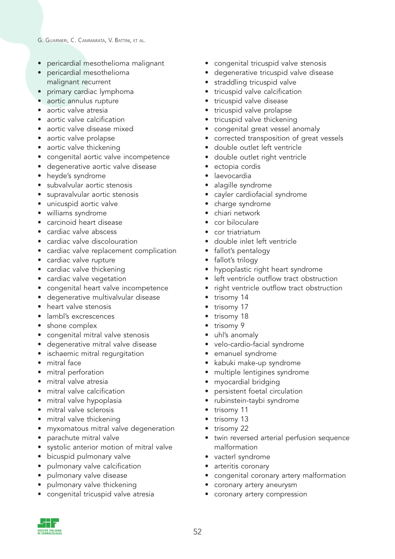- pericardial mesothelioma malignant
- pericardial mesothelioma malignant recurrent
- primary cardiac lymphoma
- aortic annulus rupture
- aortic valve atresia
- aortic valve calcification
- aortic valve disease mixed
- aortic valve prolapse
- aortic valve thickening
- congenital aortic valve incompetence
- degenerative aortic valve disease
- heyde's syndrome
- subvalvular aortic stenosis
- supravalvular aortic stenosis
- unicuspid aortic valve
- williams syndrome
- carcinoid heart disease
- cardiac valve abscess
- cardiac valve discolouration
- cardiac valve replacement complication
- cardiac valve rupture
- cardiac valve thickening
- cardiac valve vegetation
- congenital heart valve incompetence
- degenerative multivalvular disease
- heart valve stenosis
- lambl's excrescences
- shone complex
- congenital mitral valve stenosis
- degenerative mitral valve disease
- ischaemic mitral regurgitation
- mitral face
- mitral perforation
- mitral valve atresia
- mitral valve calcification
- mitral valve hypoplasia
- mitral valve sclerosis
- mitral valve thickening
- myxomatous mitral valve degeneration
- parachute mitral valve
- systolic anterior motion of mitral valve
- bicuspid pulmonary valve
- pulmonary valve calcification
- pulmonary valve disease
- pulmonary valve thickening
- congenital tricuspid valve atresia
- congenital tricuspid valve stenosis
- degenerative tricuspid valve disease
- straddling tricuspid valve
- tricuspid valve calcification
- tricuspid valve disease
- tricuspid valve prolapse
- tricuspid valve thickening
- congenital great vessel anomaly
- corrected transposition of great vessels
- double outlet left ventricle
- double outlet right ventricle
- ectopia cordis
- laevocardia
- alagille syndrome
- cayler cardiofacial syndrome
- charge syndrome
- chiari network
- cor biloculare
- cor triatriatum
- double inlet left ventricle
- fallot's pentalogy
- fallot's trilogy
- hypoplastic right heart syndrome
- left ventricle outflow tract obstruction
- right ventricle outflow tract obstruction
- trisomy 14
- trisomy 17
- trisomy 18
- trisomy 9
- uhl's anomaly
- velo-cardio-facial syndrome
- emanuel syndrome
- kabuki make-up syndrome
- multiple lentigines syndrome
- myocardial bridging
- persistent foetal circulation
- rubinstein-taybi syndrome
- trisomy 11
- trisomy 13
- trisomy 22
- twin reversed arterial perfusion sequence malformation
- vacterl syndrome
- arteritis coronary
- congenital coronary artery malformation
- coronary artery aneurysm
- coronary artery compression

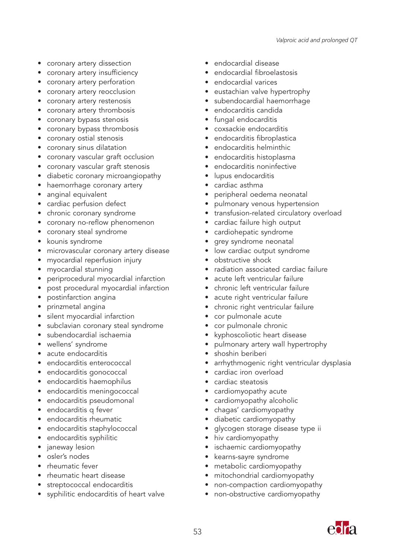- coronary artery dissection
- coronary artery insufficiency
- coronary artery perforation
- coronary artery reocclusion
- coronary artery restenosis
- coronary artery thrombosis
- coronary bypass stenosis
- coronary bypass thrombosis
- coronary ostial stenosis
- coronary sinus dilatation
- coronary vascular graft occlusion
- coronary vascular graft stenosis
- diabetic coronary microangiopathy
- haemorrhage coronary artery
- anginal equivalent
- cardiac perfusion defect
- chronic coronary syndrome
- coronary no-reflow phenomenon
- coronary steal syndrome
- kounis syndrome
- microvascular coronary artery disease
- myocardial reperfusion injury
- myocardial stunning
- periprocedural myocardial infarction
- post procedural myocardial infarction
- postinfarction angina
- prinzmetal angina
- silent myocardial infarction
- subclavian coronary steal syndrome
- subendocardial ischaemia
- wellens' syndrome
- acute endocarditis
- endocarditis enterococcal
- endocarditis gonococcal
- endocarditis haemophilus
- endocarditis meningococcal
- endocarditis pseudomonal
- endocarditis q fever
- endocarditis rheumatic
- endocarditis staphylococcal
- endocarditis syphilitic
- janeway lesion
- osler's nodes
- rheumatic fever
- rheumatic heart disease
- streptococcal endocarditis
- syphilitic endocarditis of heart valve
- endocardial disease
- endocardial fibroelastosis
- endocardial varices
- eustachian valve hypertrophy
- subendocardial haemorrhage
- endocarditis candida
- fungal endocarditis
- coxsackie endocarditis
- endocarditis fibroplastica
- endocarditis helminthic
- endocarditis histoplasma
- endocarditis noninfective
- lupus endocarditis
- cardiac asthma
- peripheral oedema neonatal
- pulmonary venous hypertension
- transfusion-related circulatory overload
- cardiac failure high output
- cardiohepatic syndrome
- grey syndrome neonatal
- low cardiac output syndrome
- obstructive shock
- radiation associated cardiac failure
- acute left ventricular failure
- chronic left ventricular failure
- acute right ventricular failure
- chronic right ventricular failure
- cor pulmonale acute
- cor pulmonale chronic
- kyphoscoliotic heart disease
- pulmonary artery wall hypertrophy
- shoshin beriberi
- arrhythmogenic right ventricular dysplasia
- cardiac iron overload
- cardiac steatosis
- cardiomyopathy acute
- cardiomyopathy alcoholic
- chagas' cardiomyopathy
- diabetic cardiomyopathy
- glycogen storage disease type ii
- hiv cardiomyopathy
- ischaemic cardiomyopathy
- kearns-sayre syndrome
- metabolic cardiomyopathy
- mitochondrial cardiomyopathy
- non-compaction cardiomyopathy
- non-obstructive cardiomyopathy

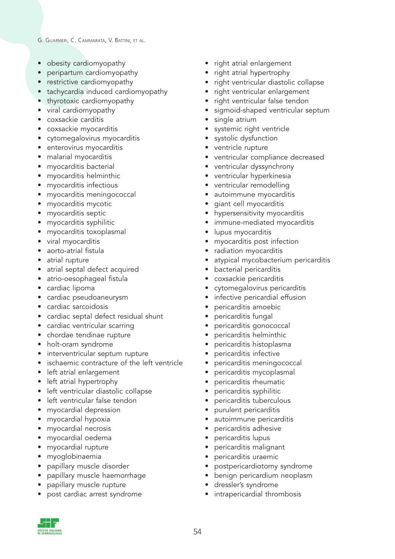- obesity cardiomyopathy
- peripartum cardiomyopathy
- restrictive cardiomyopathy
- tachycardia induced cardiomyopathy
- thyrotoxic cardiomyopathy
- viral cardiomyopathy
- coxsackie carditis
- coxsackie myocarditis
- cytomegalovirus myocarditis
- enterovirus myocarditis
- malarial myocarditis
- myocarditis bacterial
- myocarditis helminthic
- myocarditis infectious
- myocarditis meningococcal
- myocarditis mycotic
- myocarditis septic
- myocarditis syphilitic
- myocarditis toxoplasmal
- viral myocarditis
- aorto-atrial fistula
- atrial rupture
- atrial septal defect acquired
- atrio-oesophageal fistula
- cardiac lipoma
- cardiac pseudoaneurysm
- cardiac sarcoidosis
- cardiac septal defect residual shunt
- cardiac ventricular scarring
- chordae tendinae rupture
- holt-oram syndrome
- interventricular septum rupture
- ischaemic contracture of the left ventricle
- left atrial enlargement
- left atrial hypertrophy
- left ventricular diastolic collapse
- left ventricular false tendon
- myocardial depression
- myocardial hypoxia
- myocardial necrosis
- myocardial oedema
- myocardial rupture
- myoglobinaemia
- papillary muscle disorder
- papillary muscle haemorrhage
- papillary muscle rupture
- post cardiac arrest syndrome
- right atrial enlargement
- right atrial hypertrophy
- right ventricular diastolic collapse
- right ventricular enlargement
- right ventricular false tendon
- sigmoid-shaped ventricular septum
- single atrium
- systemic right ventricle
- systolic dysfunction
- ventricle rupture
- ventricular compliance decreased
- ventricular dyssynchrony
- ventricular hyperkinesia
- ventricular remodelling
- autoimmune myocarditis
- giant cell myocarditis
- hypersensitivity myocarditis
- immune-mediated myocarditis
- lupus myocarditis
- myocarditis post infection
- radiation myocarditis
- atypical mycobacterium pericarditis
- bacterial pericarditis
- coxsackie pericarditis
- cytomegalovirus pericarditis
- infective pericardial effusion
- pericarditis amoebic
- pericarditis fungal
- pericarditis gonococcal
- pericarditis helminthic
- pericarditis histoplasma
- pericarditis infective
- pericarditis meningococcal
- pericarditis mycoplasmal
- pericarditis rheumatic
- pericarditis syphilitic
- pericarditis tuberculous
- purulent pericarditis
- autoimmune pericarditis
- pericarditis adhesive
- pericarditis lupus
- pericarditis malignant
- pericarditis uraemic
- postpericardiotomy syndrome
- benign pericardium neoplasm
- dressler's syndrome
- intrapericardial thrombosis